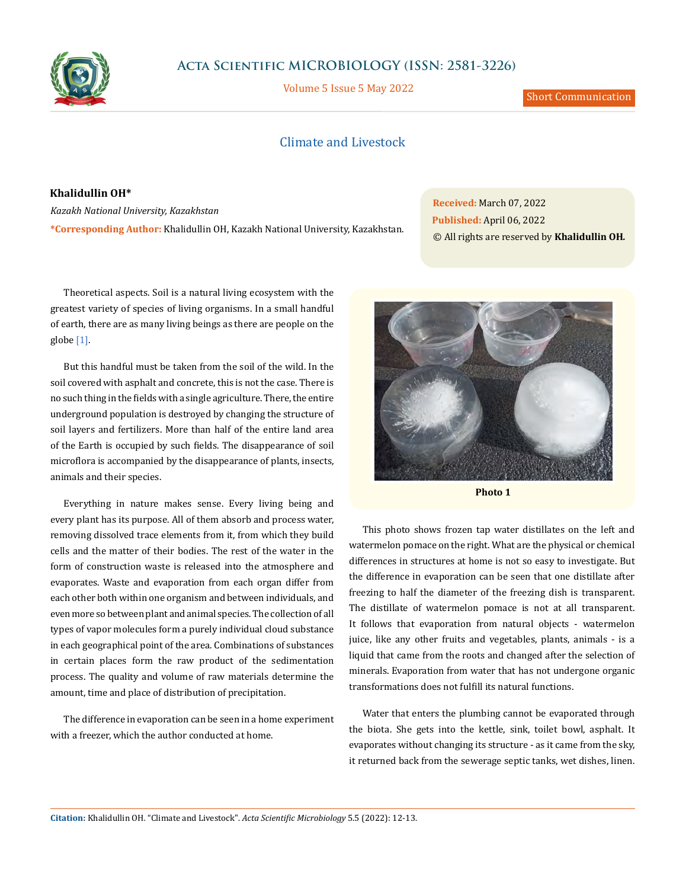

# **Acta Scientific MICROBIOLOGY (ISSN: 2581-3226)**

Volume 5 Issue 5 May 2022

Short Communication

## Climate and Livestock

**Khalidullin OH\***

*Kazakh National University, Kazakhstan* **\*Corresponding Author:** Khalidullin OH, Kazakh National University, Kazakhstan. **Received:** March 07, 2022 **Published:** April 06, 2022 © All rights are reserved by **Khalidullin OH***.*

Theoretical aspects. Soil is a natural living ecosystem with the greatest variety of species of living organisms. In a small handful of earth, there are as many living beings as there are people on the globe [1].

But this handful must be taken from the soil of the wild. In the soil covered with asphalt and concrete, this is not the case. There is no such thing in the fields with a single agriculture. There, the entire underground population is destroyed by changing the structure of soil layers and fertilizers. More than half of the entire land area of the Earth is occupied by such fields. The disappearance of soil microflora is accompanied by the disappearance of plants, insects, animals and their species.

Everything in nature makes sense. Every living being and every plant has its purpose. All of them absorb and process water, removing dissolved trace elements from it, from which they build cells and the matter of their bodies. The rest of the water in the form of construction waste is released into the atmosphere and evaporates. Waste and evaporation from each organ differ from each other both within one organism and between individuals, and even more so between plant and animal species. The collection of all types of vapor molecules form a purely individual cloud substance in each geographical point of the area. Combinations of substances in certain places form the raw product of the sedimentation process. The quality and volume of raw materials determine the amount, time and place of distribution of precipitation.

The difference in evaporation can be seen in a home experiment with a freezer, which the author conducted at home.



**Photo 1**

This photo shows frozen tap water distillates on the left and watermelon pomace on the right. What are the physical or chemical differences in structures at home is not so easy to investigate. But the difference in evaporation can be seen that one distillate after freezing to half the diameter of the freezing dish is transparent. The distillate of watermelon pomace is not at all transparent. It follows that evaporation from natural objects - watermelon juice, like any other fruits and vegetables, plants, animals - is a liquid that came from the roots and changed after the selection of minerals. Evaporation from water that has not undergone organic transformations does not fulfill its natural functions.

Water that enters the plumbing cannot be evaporated through the biota. She gets into the kettle, sink, toilet bowl, asphalt. It evaporates without changing its structure - as it came from the sky, it returned back from the sewerage septic tanks, wet dishes, linen.